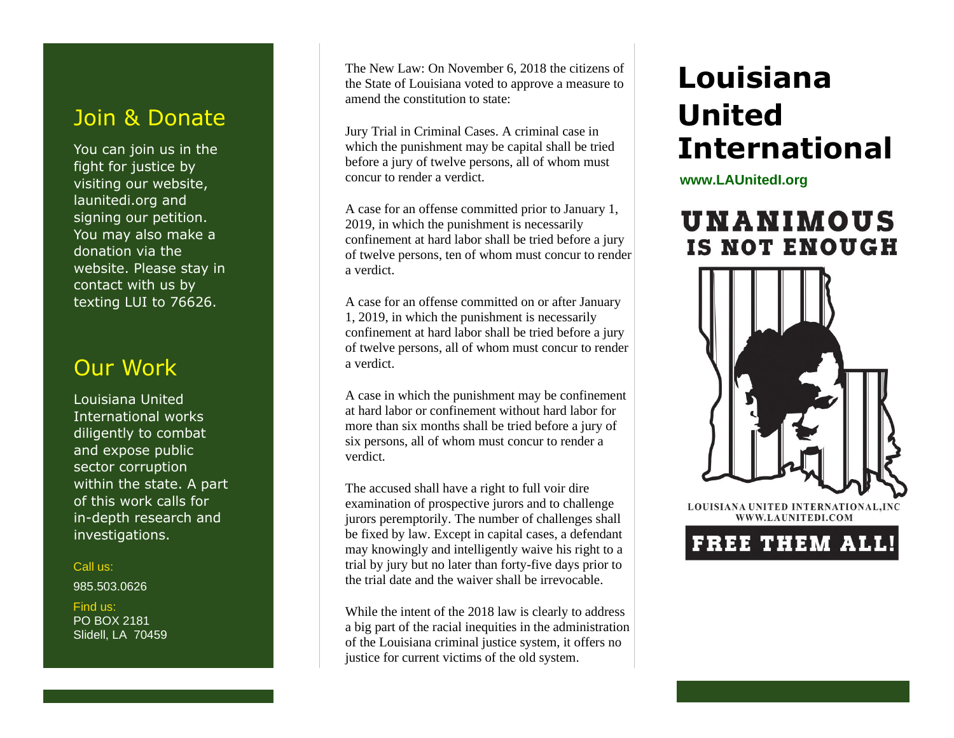## Join & Donate

You can join us in the fight for justice by visiting our website, launitedi.org and signing our petition. You may also make a donation via the website. Please stay in contact with us by texting LUI to 76626.

## Our Work

Louisiana United International works diligently to combat and expose public sector corruption within the state. A part of this work calls for in-depth research and investigations.

#### Call us:

985.503.0626

 Find us: PO BOX 2181 Slidell, LA 70459 The New Law: On November 6, 2018 the citizens of the State of Louisiana voted to approve a measure to amend the constitution to state:

Jury Trial in Criminal Cases. A criminal case in which the punishment may be capital shall be tried before a jury of twelve persons, all of whom must concur to render a verdict.

A case for an offense committed prior to January 1, 2019, in which the punishment is necessarily confinement at hard labor shall be tried before a jury of twelve persons, ten of whom must concur to render a verdict.

A case for an offense committed on or after January 1, 2019, in which the punishment is necessarily confinement at hard labor shall be tried before a jury of twelve persons, all of whom must concur to render a verdict.

A case in which the punishment may be confinement at hard labor or confinement without hard labor for more than six months shall be tried before a jury of six persons, all of whom must concur to render a verdict.

The accused shall have a right to full voir dire examination of prospective jurors and to challenge jurors peremptorily. The number of challenges shall be fixed by law. Except in capital cases, a defendant may knowingly and intelligently waive his right to a trial by jury but no later than forty-five days prior to the trial date and the waiver shall be irrevocable.

While the intent of the 2018 law is clearly to address a big part of the racial inequities in the administration of the Louisiana criminal justice system, it offers no justice for current victims of the old system.

# **Louisiana United International**

www.launitedi.org **www.LAUnitedI.org**

# **UNANIMOUS IS NOT ENOUGH**